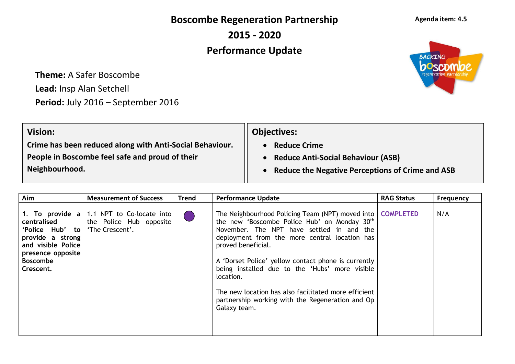**Boscombe Regeneration Partnership**

**2015 - 2020**

## **Performance Update**

**Theme:** A Safer Boscombe **Lead:** Insp Alan Setchell Period: July 2016 - September 2016

| <b>Vision:</b>                                           | <b>Objectives:</b>                                      |
|----------------------------------------------------------|---------------------------------------------------------|
| Crime has been reduced along with Anti-Social Behaviour. | <b>Reduce Crime</b>                                     |
| People in Boscombe feel safe and proud of their          | <b>Reduce Anti-Social Behaviour (ASB)</b>               |
| Neighbourhood.                                           | <b>Reduce the Negative Perceptions of Crime and ASB</b> |
|                                                          |                                                         |

| Aim                                                                                                                           | <b>Measurement of Success</b>                                                                  | <b>Trend</b> | <b>Performance Update</b>                                                                                                                                                                                                                                                                                                                                                                                                                                                          | <b>RAG Status</b> | <b>Frequency</b> |
|-------------------------------------------------------------------------------------------------------------------------------|------------------------------------------------------------------------------------------------|--------------|------------------------------------------------------------------------------------------------------------------------------------------------------------------------------------------------------------------------------------------------------------------------------------------------------------------------------------------------------------------------------------------------------------------------------------------------------------------------------------|-------------------|------------------|
| centralised<br>'Police Hub' to<br>provide a strong<br>and visible Police<br>presence opposite<br><b>Boscombe</b><br>Crescent. | 1. To provide $a \mid 1.1$ NPT to Co-locate into<br>the Police Hub opposite<br>'The Crescent'. |              | The Neighbourhood Policing Team (NPT) moved into<br>the new 'Boscombe Police Hub' on Monday 30 <sup>th</sup><br>November. The NPT have settled in and the<br>deployment from the more central location has<br>proved beneficial.<br>A 'Dorset Police' yellow contact phone is currently<br>being installed due to the 'Hubs' more visible<br>location.<br>The new location has also facilitated more efficient<br>partnership working with the Regeneration and Op<br>Galaxy team. | <b>COMPLETED</b>  | N/A              |



## **Agenda item: 4.5**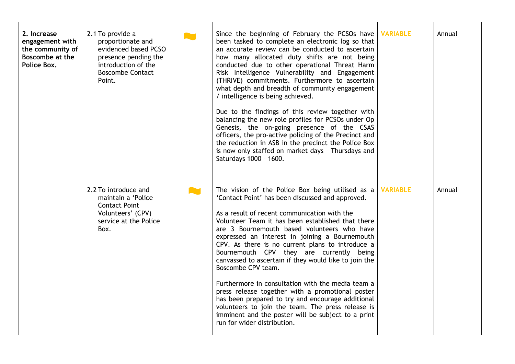| 2. Increase<br>engagement with<br>the community of<br>Boscombe at the<br>Police Box. | 2.1 To provide a<br>proportionate and<br>evidenced based PCSO<br>presence pending the<br>introduction of the<br><b>Boscombe Contact</b><br>Point. | <b>AM</b> | Since the beginning of February the PCSOs have<br>been tasked to complete an electronic log so that<br>an accurate review can be conducted to ascertain<br>how many allocated duty shifts are not being<br>conducted due to other operational Threat Harm<br>Risk Intelligence Vulnerability and Engagement<br>(THRIVE) commitments. Furthermore to ascertain<br>what depth and breadth of community engagement<br>/ intelligence is being achieved.<br>Due to the findings of this review together with<br>balancing the new role profiles for PCSOs under Op<br>Genesis, the on-going presence of the CSAS<br>officers, the pro-active policing of the Precinct and<br>the reduction in ASB in the precinct the Police Box<br>is now only staffed on market days - Thursdays and<br>Saturdays 1000 - 1600. | <b>VARIABLE</b> | Annual |
|--------------------------------------------------------------------------------------|---------------------------------------------------------------------------------------------------------------------------------------------------|-----------|--------------------------------------------------------------------------------------------------------------------------------------------------------------------------------------------------------------------------------------------------------------------------------------------------------------------------------------------------------------------------------------------------------------------------------------------------------------------------------------------------------------------------------------------------------------------------------------------------------------------------------------------------------------------------------------------------------------------------------------------------------------------------------------------------------------|-----------------|--------|
|                                                                                      | 2.2 To introduce and<br>maintain a 'Police<br><b>Contact Point</b><br>Volunteers' (CPV)<br>service at the Police<br>Box.                          |           | The vision of the Police Box being utilised as a<br>'Contact Point' has been discussed and approved.<br>As a result of recent communication with the<br>Volunteer Team it has been established that there<br>are 3 Bournemouth based volunteers who have<br>expressed an interest in joining a Bournemouth<br>CPV. As there is no current plans to introduce a<br>Bournemouth CPV they are currently being<br>canvassed to ascertain if they would like to join the<br>Boscombe CPV team.<br>Furthermore in consultation with the media team a<br>press release together with a promotional poster<br>has been prepared to try and encourage additional<br>volunteers to join the team. The press release is<br>imminent and the poster will be subject to a print<br>run for wider distribution.            | <b>VARIABLE</b> | Annual |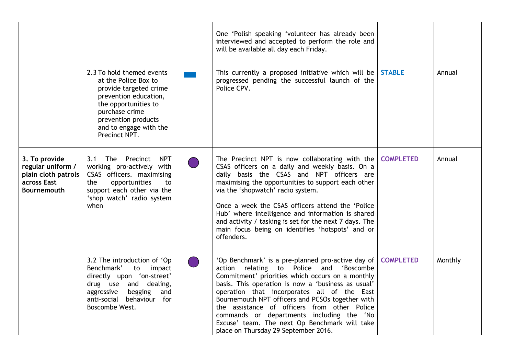|                                                                                                | 2.3 To hold themed events<br>at the Police Box to<br>provide targeted crime<br>prevention education,<br>the opportunities to<br>purchase crime<br>prevention products<br>and to engage with the<br>Precinct NPT. | One 'Polish speaking 'volunteer has already been<br>interviewed and accepted to perform the role and<br>will be available all day each Friday.<br>This currently a proposed initiative which will be STABLE<br>progressed pending the successful launch of the<br>Police CPV.                                                                                                                                                                                                                         |                  | Annual  |
|------------------------------------------------------------------------------------------------|------------------------------------------------------------------------------------------------------------------------------------------------------------------------------------------------------------------|-------------------------------------------------------------------------------------------------------------------------------------------------------------------------------------------------------------------------------------------------------------------------------------------------------------------------------------------------------------------------------------------------------------------------------------------------------------------------------------------------------|------------------|---------|
| 3. To provide<br>regular uniform /<br>plain cloth patrols<br>across East<br><b>Bournemouth</b> | 3.1 The Precinct<br><b>NPT</b><br>working pro-actively with<br>CSAS officers. maximising<br>opportunities<br>the<br>to<br>support each other via the<br>'shop watch' radio system<br>when                        | The Precinct NPT is now collaborating with the $\overline{COMPLETED}$<br>CSAS officers on a daily and weekly basis. On a<br>daily basis the CSAS and NPT officers are<br>maximising the opportunities to support each other<br>via the 'shopwatch' radio system.<br>Once a week the CSAS officers attend the 'Police<br>Hub' where intelligence and information is shared<br>and activity / tasking is set for the next 7 days. The<br>main focus being on identifies 'hotspots' and or<br>offenders. |                  | Annual  |
|                                                                                                | 3.2 The introduction of 'Op<br>Benchmark'<br>to impact<br>directly upon 'on-street'<br>drug use and dealing,<br>aggressive<br>begging<br>and<br>anti-social behaviour for<br>Boscombe West.                      | 'Op Benchmark' is a pre-planned pro-active day of<br>action relating to Police and 'Boscombe<br>Commitment' priorities which occurs on a monthly<br>basis. This operation is now a 'business as usual'<br>operation that incorporates all of the East<br>Bournemouth NPT officers and PCSOs together with<br>the assistance of officers from other Police<br>commands or departments including the 'No<br>Excuse' team. The next Op Benchmark will take<br>place on Thursday 29 September 2016.       | <b>COMPLETED</b> | Monthly |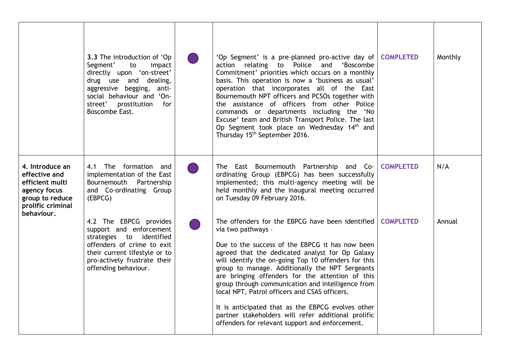|                                                                                                                           | 3.3 The introduction of 'Op<br>Segment'<br>to<br>impact<br>directly upon 'on-street'<br>drug use and dealing,<br>aggressive begging, anti-<br>social behaviour and 'On-<br>street' prostitution<br>for<br>Boscombe East. | 'Op Segment' is a pre-planned pro-active day of<br>'Boscombe<br>action relating to Police and<br>Commitment' priorities which occurs on a monthly<br>basis. This operation is now a 'business as usual'<br>operation that incorporates all of the East<br>Bournemouth NPT officers and PCSOs together with<br>the assistance of officers from other Police<br>commands or departments including the 'No<br>Excuse' team and British Transport Police. The last<br>Op Segment took place on Wednesday 14 <sup>th</sup> and<br>Thursday 15 <sup>th</sup> September 2016.                                           | <b>COMPLETED</b> | Monthly |
|---------------------------------------------------------------------------------------------------------------------------|--------------------------------------------------------------------------------------------------------------------------------------------------------------------------------------------------------------------------|------------------------------------------------------------------------------------------------------------------------------------------------------------------------------------------------------------------------------------------------------------------------------------------------------------------------------------------------------------------------------------------------------------------------------------------------------------------------------------------------------------------------------------------------------------------------------------------------------------------|------------------|---------|
| 4. Introduce an<br>effective and<br>efficient multi<br>agency focus<br>group to reduce<br>prolific criminal<br>behaviour. | The formation and<br>4.1<br>implementation of the East<br>Partnership<br>Bournemouth<br>and Co-ordinating Group<br>(EBPCG)                                                                                               | The East Bournemouth Partnership and Co-<br>ordinating Group (EBPCG) has been successfully<br>implemented; this multi-agency meeting will be<br>held monthly and the inaugural meeting occurred<br>on Tuesday 09 February 2016.                                                                                                                                                                                                                                                                                                                                                                                  | <b>COMPLETED</b> | N/A     |
|                                                                                                                           | 4.2 The EBPCG provides<br>support and enforcement<br>strategies to identified<br>offenders of crime to exit<br>their current lifestyle or to<br>pro-actively frustrate their<br>offending behaviour.                     | The offenders for the EBPCG have been identified<br>via two pathways -<br>Due to the success of the EBPCG it has now been<br>agreed that the dedicated analyst for Op Galaxy<br>will identify the on-going Top 10 offenders for this<br>group to manage. Additionally the NPT Sergeants<br>are bringing offenders for the attention of this<br>group through communication and intelligence from<br>local NPT, Patrol officers and CSAS officers.<br>It is anticipated that as the EBPCG evolves other<br>partner stakeholders will refer additional prolific<br>offenders for relevant support and enforcement. | <b>COMPLETED</b> | Annual  |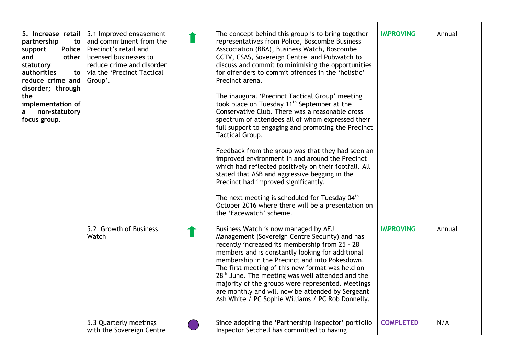| partnership<br>to<br>Police<br>support<br>and<br>other<br>statutory<br>authorities<br>to<br>reduce crime and<br>disorder; through<br>the<br>implementation of<br>non-statutory<br>a<br>focus group. | 5. Increase retail $\vert$ 5.1 Improved engagement<br>and commitment from the<br>Precinct's retail and<br>licensed businesses to<br>reduce crime and disorder<br>via the 'Precinct Tactical<br>Group'.<br>5.2 Growth of Business<br>Watch | The concept behind this group is to bring together<br>representatives from Police, Boscombe Business<br>Asscociation (BBA), Business Watch, Boscombe<br>CCTV, CSAS, Sovereign Centre and Pubwatch to<br>discuss and commit to minimising the opportunities<br>for offenders to commit offences in the 'holistic'<br>Precinct arena.<br>The inaugural 'Precinct Tactical Group' meeting<br>took place on Tuesday 11 <sup>th</sup> September at the<br>Conservative Club. There was a reasonable cross<br>spectrum of attendees all of whom expressed their<br>full support to engaging and promoting the Precinct<br>Tactical Group.<br>Feedback from the group was that they had seen an<br>improved environment in and around the Precinct<br>which had reflected positively on their footfall. All<br>stated that ASB and aggressive begging in the<br>Precinct had improved significantly.<br>The next meeting is scheduled for Tuesday 04 <sup>th</sup><br>October 2016 where there will be a presentation on<br>the 'Facewatch' scheme.<br>Business Watch is now managed by AEJ<br>Management (Sovereign Centre Security) and has<br>recently increased its membership from 25 - 28<br>members and is constantly looking for additional<br>membership in the Precinct and into Pokesdown.<br>The first meeting of this new format was held on<br>$28th$ June. The meeting was well attended and the | <b>IMPROVING</b><br><b>IMPROVING</b> | Annual<br>Annual |
|-----------------------------------------------------------------------------------------------------------------------------------------------------------------------------------------------------|-------------------------------------------------------------------------------------------------------------------------------------------------------------------------------------------------------------------------------------------|----------------------------------------------------------------------------------------------------------------------------------------------------------------------------------------------------------------------------------------------------------------------------------------------------------------------------------------------------------------------------------------------------------------------------------------------------------------------------------------------------------------------------------------------------------------------------------------------------------------------------------------------------------------------------------------------------------------------------------------------------------------------------------------------------------------------------------------------------------------------------------------------------------------------------------------------------------------------------------------------------------------------------------------------------------------------------------------------------------------------------------------------------------------------------------------------------------------------------------------------------------------------------------------------------------------------------------------------------------------------------------------------------------|--------------------------------------|------------------|
|                                                                                                                                                                                                     | 5.3 Quarterly meetings<br>with the Sovereign Centre                                                                                                                                                                                       | majority of the groups were represented. Meetings<br>are monthly and will now be attended by Sergeant<br>Ash White / PC Sophie Williams / PC Rob Donnelly.<br>Since adopting the 'Partnership Inspector' portfolio<br>Inspector Setchell has committed to having                                                                                                                                                                                                                                                                                                                                                                                                                                                                                                                                                                                                                                                                                                                                                                                                                                                                                                                                                                                                                                                                                                                                         | <b>COMPLETED</b>                     | N/A              |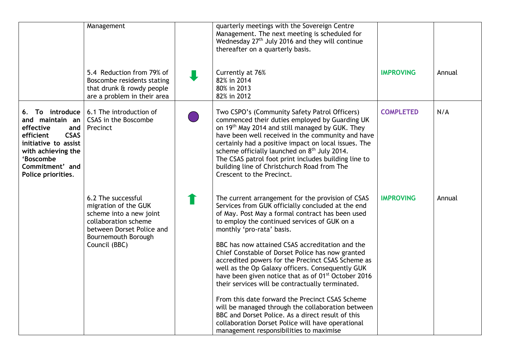|                                                                                                                                                                                          | Management                                                                                                                                                         | quarterly meetings with the Sovereign Centre<br>Management. The next meeting is scheduled for<br>Wednesday 27 <sup>th</sup> July 2016 and they will continue<br>thereafter on a quarterly basis.                                                                                                                                                                                                                                                                                                                                                                                                                                                                                                                                                                                                                                            |                  |        |
|------------------------------------------------------------------------------------------------------------------------------------------------------------------------------------------|--------------------------------------------------------------------------------------------------------------------------------------------------------------------|---------------------------------------------------------------------------------------------------------------------------------------------------------------------------------------------------------------------------------------------------------------------------------------------------------------------------------------------------------------------------------------------------------------------------------------------------------------------------------------------------------------------------------------------------------------------------------------------------------------------------------------------------------------------------------------------------------------------------------------------------------------------------------------------------------------------------------------------|------------------|--------|
|                                                                                                                                                                                          | 5.4 Reduction from 79% of<br>Boscombe residents stating<br>that drunk & rowdy people<br>are a problem in their area                                                | Currently at 76%<br>82% in 2014<br>80% in 2013<br>82% in 2012                                                                                                                                                                                                                                                                                                                                                                                                                                                                                                                                                                                                                                                                                                                                                                               | <b>IMPROVING</b> | Annual |
| 6. To introduce<br>and maintain an<br>effective<br>and  <br><b>CSAS</b><br>efficient<br>initiative to assist<br>with achieving the<br>'Boscombe<br>Commitment' and<br>Police priorities. | 6.1 The introduction of<br>CSAS in the Boscombe<br>Precinct                                                                                                        | Two CSPO's (Community Safety Patrol Officers)<br>commenced their duties employed by Guarding UK<br>on 19 <sup>th</sup> May 2014 and still managed by GUK. They<br>have been well received in the community and have<br>certainly had a positive impact on local issues. The<br>scheme officially launched on 8 <sup>th</sup> July 2014.<br>The CSAS patrol foot print includes building line to<br>building line of Christchurch Road from The<br>Crescent to the Precinct.                                                                                                                                                                                                                                                                                                                                                                 | <b>COMPLETED</b> | N/A    |
|                                                                                                                                                                                          | 6.2 The successful<br>migration of the GUK<br>scheme into a new joint<br>collaboration scheme<br>between Dorset Police and<br>Bournemouth Borough<br>Council (BBC) | The current arrangement for the provision of CSAS<br>Services from GUK officially concluded at the end<br>of May. Post May a formal contract has been used<br>to employ the continued services of GUK on a<br>monthly 'pro-rata' basis.<br>BBC has now attained CSAS accreditation and the<br>Chief Constable of Dorset Police has now granted<br>accredited powers for the Precinct CSAS Scheme as<br>well as the Op Galaxy officers. Consequently GUK<br>have been given notice that as of 01 <sup>st</sup> October 2016<br>their services will be contractually terminated.<br>From this date forward the Precinct CSAS Scheme<br>will be managed through the collaboration between<br>BBC and Dorset Police. As a direct result of this<br>collaboration Dorset Police will have operational<br>management responsibilities to maximise | <b>IMPROVING</b> | Annual |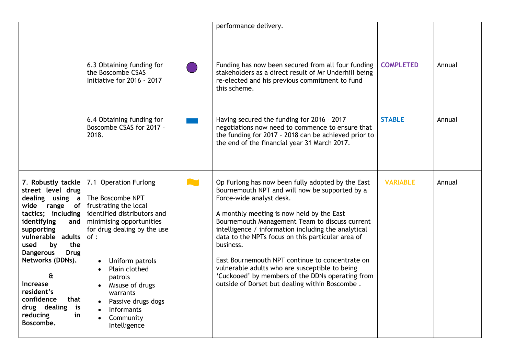|                                                                                                                                                                                                                                                                                                                                                  | 6.3 Obtaining funding for<br>the Boscombe CSAS<br>Initiative for 2016 - 2017                                                                                                                                                                                                                                              | performance delivery.<br>Funding has now been secured from all four funding<br>stakeholders as a direct result of Mr Underhill being<br>re-elected and his previous commitment to fund<br>this scheme.                                                                                                                                                                                                                                                                                                                                                             | <b>COMPLETED</b> | Annual |
|--------------------------------------------------------------------------------------------------------------------------------------------------------------------------------------------------------------------------------------------------------------------------------------------------------------------------------------------------|---------------------------------------------------------------------------------------------------------------------------------------------------------------------------------------------------------------------------------------------------------------------------------------------------------------------------|--------------------------------------------------------------------------------------------------------------------------------------------------------------------------------------------------------------------------------------------------------------------------------------------------------------------------------------------------------------------------------------------------------------------------------------------------------------------------------------------------------------------------------------------------------------------|------------------|--------|
|                                                                                                                                                                                                                                                                                                                                                  | 6.4 Obtaining funding for<br>Boscombe CSAS for 2017 -<br>2018.                                                                                                                                                                                                                                                            | Having secured the funding for 2016 - 2017<br>negotiations now need to commence to ensure that<br>the funding for 2017 - 2018 can be achieved prior to<br>the end of the financial year 31 March 2017.                                                                                                                                                                                                                                                                                                                                                             | <b>STABLE</b>    | Annual |
| 7. Robustly tackle<br>street level drug<br>dealing using a<br>wide range of<br>tactics; including<br>identifying<br>and<br>supporting<br>vulnerable adults<br>used<br>the<br>by<br><b>Dangerous</b><br><b>Drug</b><br>Networks (DDNs).<br>£<br>Increase<br>resident's<br>confidence<br>that<br>drug dealing<br>is<br>reducing<br>in<br>Boscombe. | 7.1 Operation Furlong<br>The Boscombe NPT<br>frustrating the local<br>identified distributors and<br>minimising opportunities<br>for drug dealing by the use<br>of:<br>Uniform patrols<br>Plain clothed<br>patrols<br>Misuse of drugs<br>warrants<br>Passive drugs dogs<br><b>Informants</b><br>Community<br>Intelligence | Op Furlong has now been fully adopted by the East<br>Bournemouth NPT and will now be supported by a<br>Force-wide analyst desk.<br>A monthly meeting is now held by the East<br>Bournemouth Management Team to discuss current<br>intelligence / information including the analytical<br>data to the NPTs focus on this particular area of<br>business.<br>East Bournemouth NPT continue to concentrate on<br>vulnerable adults who are susceptible to being<br>'Cuckooed' by members of the DDNs operating from<br>outside of Dorset but dealing within Boscombe. | <b>VARIABLE</b>  | Annual |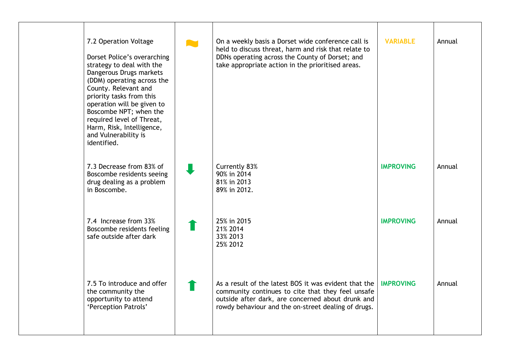| 7.2 Operation Voltage<br>Dorset Police's overarching<br>strategy to deal with the<br>Dangerous Drugs markets<br>(DDM) operating across the<br>County. Relevant and<br>priority tasks from this<br>operation will be given to<br>Boscombe NPT; when the<br>required level of Threat,<br>Harm, Risk, Intelligence,<br>and Vulnerability is<br>identified. | On a weekly basis a Dorset wide conference call is<br>held to discuss threat, harm and risk that relate to<br>DDNs operating across the County of Dorset; and<br>take appropriate action in the prioritised areas.     | <b>VARIABLE</b>  | Annual |
|---------------------------------------------------------------------------------------------------------------------------------------------------------------------------------------------------------------------------------------------------------------------------------------------------------------------------------------------------------|------------------------------------------------------------------------------------------------------------------------------------------------------------------------------------------------------------------------|------------------|--------|
| 7.3 Decrease from 83% of<br>Boscombe residents seeing<br>drug dealing as a problem<br>in Boscombe.                                                                                                                                                                                                                                                      | Currently 83%<br>90% in 2014<br>81% in 2013<br>89% in 2012.                                                                                                                                                            | <b>IMPROVING</b> | Annual |
| 7.4 Increase from 33%<br>Boscombe residents feeling<br>safe outside after dark                                                                                                                                                                                                                                                                          | 25% in 2015<br>21% 2014<br>33% 2013<br>25% 2012                                                                                                                                                                        | <b>IMPROVING</b> | Annual |
| 7.5 To introduce and offer<br>the community the<br>opportunity to attend<br>'Perception Patrols'                                                                                                                                                                                                                                                        | As a result of the latest BOS it was evident that the<br>community continues to cite that they feel unsafe<br>outside after dark, are concerned about drunk and<br>rowdy behaviour and the on-street dealing of drugs. | <b>IMPROVING</b> | Annual |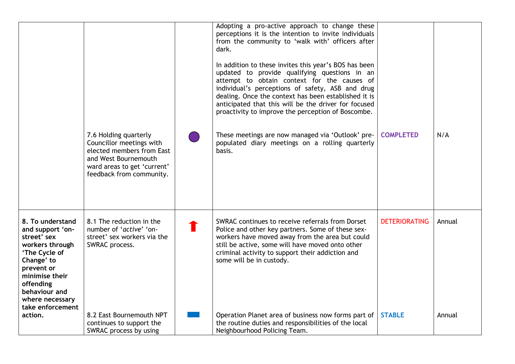|                                                                                                                                                                                                            |                                                                                                                                                                   | Adopting a pro-active approach to change these<br>perceptions it is the intention to invite individuals<br>from the community to 'walk with' officers after<br>dark.<br>In addition to these invites this year's BOS has been<br>updated to provide qualifying questions in an<br>attempt to obtain context for the causes of<br>individual's perceptions of safety, ASB and drug<br>dealing. Once the context has been established it is<br>anticipated that this will be the driver for focused<br>proactivity to improve the perception of Boscombe. |                      |        |
|------------------------------------------------------------------------------------------------------------------------------------------------------------------------------------------------------------|-------------------------------------------------------------------------------------------------------------------------------------------------------------------|---------------------------------------------------------------------------------------------------------------------------------------------------------------------------------------------------------------------------------------------------------------------------------------------------------------------------------------------------------------------------------------------------------------------------------------------------------------------------------------------------------------------------------------------------------|----------------------|--------|
|                                                                                                                                                                                                            | 7.6 Holding quarterly<br>Councillor meetings with<br>elected members from East<br>and West Bournemouth<br>ward areas to get 'current'<br>feedback from community. | These meetings are now managed via 'Outlook' pre-<br>populated diary meetings on a rolling quarterly<br>basis.                                                                                                                                                                                                                                                                                                                                                                                                                                          | <b>COMPLETED</b>     | N/A    |
| 8. To understand<br>and support 'on-<br>street' sex<br>workers through<br>'The Cycle of<br>Change' to<br>prevent or<br>minimise their<br>offending<br>behaviour and<br>where necessary<br>take enforcement | 8.1 The reduction in the<br>number of 'active' 'on-<br>street' sex workers via the<br>SWRAC process.                                                              | SWRAC continues to receive referrals from Dorset<br>Police and other key partners. Some of these sex-<br>workers have moved away from the area but could<br>still be active, some will have moved onto other<br>criminal activity to support their addiction and<br>some will be in custody.                                                                                                                                                                                                                                                            | <b>DETERIORATING</b> | Annual |
| action.                                                                                                                                                                                                    | 8.2 East Bournemouth NPT<br>continues to support the<br>SWRAC process by using                                                                                    | Operation Planet area of business now forms part of<br>the routine duties and responsibilities of the local<br>Neighbourhood Policing Team.                                                                                                                                                                                                                                                                                                                                                                                                             | <b>STABLE</b>        | Annual |